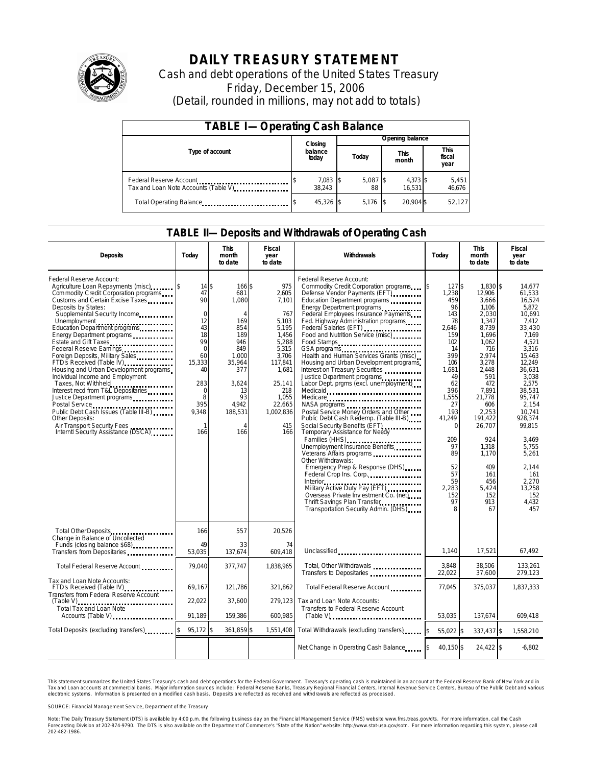

# **DAILY TREASURY STATEMENT**

Cash and debt operations of the United States Treasury Friday, December 15, 2006 (Detail, rounded in millions, may not add to totals)

| <b>TABLE I-Operating Cash Balance</b>                            |  |                    |                 |                  |  |                      |  |                               |  |
|------------------------------------------------------------------|--|--------------------|-----------------|------------------|--|----------------------|--|-------------------------------|--|
|                                                                  |  | Closing            | Opening balance |                  |  |                      |  |                               |  |
| Type of account                                                  |  | balance<br>today   |                 | Today            |  | <b>This</b><br>month |  | <b>This</b><br>fiscal<br>year |  |
| Federal Reserve Account<br>Tax and Loan Note Accounts (Table V). |  | 7,083 \$<br>38.243 |                 | $5,087$ \$<br>88 |  | 4,373 \$<br>16.531   |  | 5,451<br>46,676               |  |
| Total Operating Balance                                          |  | 45,326 \$          |                 | 5.176            |  | 20.904 \$            |  | 52.127                        |  |

### **TABLE II—Deposits and Withdrawals of Operating Cash**

| <b>Deposits</b>                                                                                                                                                                                                                                                                                                                                                                                                                                                                                                                                                                                                                                                                                        | Today                                                                                                                                                | <b>This</b><br>month<br>to date                                                                                                                       | <b>Fiscal</b><br>year<br>to date                                                                                                                                      | Withdrawals                                                                                                                                                                                                                                                                                                                                                                                                                                                                                                                                                                                                                                                                                                                                                                                                                                                                                                                                                                                                                                                                           |                                                                                                                                                                                                                                  | <b>This</b><br>month<br>to date                                                                                                                                                                                                                                      | <b>Fiscal</b><br>year<br>to date                                                                                                                                                                                                                                                             |  |
|--------------------------------------------------------------------------------------------------------------------------------------------------------------------------------------------------------------------------------------------------------------------------------------------------------------------------------------------------------------------------------------------------------------------------------------------------------------------------------------------------------------------------------------------------------------------------------------------------------------------------------------------------------------------------------------------------------|------------------------------------------------------------------------------------------------------------------------------------------------------|-------------------------------------------------------------------------------------------------------------------------------------------------------|-----------------------------------------------------------------------------------------------------------------------------------------------------------------------|---------------------------------------------------------------------------------------------------------------------------------------------------------------------------------------------------------------------------------------------------------------------------------------------------------------------------------------------------------------------------------------------------------------------------------------------------------------------------------------------------------------------------------------------------------------------------------------------------------------------------------------------------------------------------------------------------------------------------------------------------------------------------------------------------------------------------------------------------------------------------------------------------------------------------------------------------------------------------------------------------------------------------------------------------------------------------------------|----------------------------------------------------------------------------------------------------------------------------------------------------------------------------------------------------------------------------------|----------------------------------------------------------------------------------------------------------------------------------------------------------------------------------------------------------------------------------------------------------------------|----------------------------------------------------------------------------------------------------------------------------------------------------------------------------------------------------------------------------------------------------------------------------------------------|--|
| Federal Reserve Account:<br>Agriculture Loan Repayments (misc)<br>Com modity Credit Corporation programs<br>Customs and Certain Excise Taxes<br>Deposits by States:<br>Supplemental Security Income<br>Education Department programs<br>Energy Department programs<br>Estate and Gift Taxes<br>Federal Reserve Earnings.<br>Foreign Deposits, Military Sales<br>FTD's Received (Table IV)<br>Housing and Urban Development programs<br>Individual Income and Employment<br>Taxes, Not Withheld<br>Interest recd from T&L Depositaries<br>Justice Department programs<br>Public Debt Cash Issues (Table III-B)<br>Other Deposits:<br>Air Transport Security Fees<br>Interntl Security Assistance (DSCA) | $14$ \$<br>47<br>90<br>$\mathbf 0$<br>12<br>43<br>18<br>99<br>$\Omega$<br>60<br>15,333<br>40<br>283<br>$\mathbf 0$<br>8<br>395<br>9.348<br>-1<br>166 | 166 \$<br>681<br>1,080<br>$\overline{A}$<br>169<br>854<br>189<br>946<br>849<br>1.000<br>35,964<br>377<br>3,624<br>13<br>93<br>4,942<br>188,531<br>166 | 975<br>2,605<br>7,101<br>767<br>5,103<br>5.195<br>1,456<br>5,288<br>5,315<br>3.706<br>117,841<br>1,681<br>25,141<br>218<br>1,055<br>22,665<br>1,002,836<br>415<br>166 | Federal Reserve Account:<br>Commodity Credit Corporation programs<br>Defense Vendor Payments (EFT)<br>Education Department programs<br>Energy Department programs<br>Federal Employees Insurance Payments<br>Fed. Highway Administration programs<br>Federal Salaries (EFT)<br>Food and Nutrition Service (misc)<br>Food Stamps<br>GSA programs<br>Health and Human Services Grants (misc)<br>Housing and Urban Development programs<br>Interest on Treasury Securities<br>Justice Department programs<br>Labor Dept. prgms (excl. unemployment)<br>Medicaid<br>Medicare<br>NASA programs<br>Postal Service Money Orders and Other<br>Public Debt Cash Redemp. (Table III-B)<br>Social Security Benefits (EFT)<br>Temporary Assistance for Needy<br>Families (HHS)<br>Unemployment Insurance Benefits<br>Veterans Affairs programs<br>Other Withdrawals:<br>Emergency Prep & Response (DHS)<br>Federal Crop Ins. Corp<br>Interior<br>Military Active Duty Pay (EFT)<br>Overseas Private Inv estment Co. (net)<br>Thrift Savings Plan Transfer<br>Transportation Security Admin. (DHS) | 127S<br>ß.<br>1,238<br>459<br>96<br>143<br>78<br>2.646<br>159<br>102<br>14<br>399<br>106<br>1,681<br>49<br>62<br>396<br>1.555<br>27<br>193<br>41,249<br>$\Omega$<br>209<br>97<br>89<br>52<br>57<br>59<br>2,283<br>152<br>97<br>8 | 1.830 \$<br>12,906<br>3,666<br>1,106<br>2,030<br>1,347<br>8,739<br>1,696<br>1.062<br>716<br>2.974<br>3,278<br>2,448<br>591<br>472<br>7,891<br>21,778<br>606<br>2.253<br>191,422<br>26,707<br>924<br>1,318<br>1,170<br>409<br>161<br>456<br>5,424<br>152<br>913<br>67 | 14.677<br>61,533<br>16.524<br>5.872<br>10,691<br>7.412<br>33.430<br>7.169<br>4.521<br>3.316<br>15.463<br>12,249<br>36,631<br>3,038<br>2.575<br>38,531<br>95.747<br>2.154<br>10.741<br>928,374<br>99,815<br>3,469<br>5,755<br>5,261<br>2,144<br>161<br>2.270<br>13,258<br>152<br>4,432<br>457 |  |
| Total Other Deposits<br>Change in Balance of Uncollected<br>Funds (closing balance \$68)                                                                                                                                                                                                                                                                                                                                                                                                                                                                                                                                                                                                               | 166<br>49                                                                                                                                            | 557<br>33                                                                                                                                             | 20,526<br>74                                                                                                                                                          |                                                                                                                                                                                                                                                                                                                                                                                                                                                                                                                                                                                                                                                                                                                                                                                                                                                                                                                                                                                                                                                                                       |                                                                                                                                                                                                                                  |                                                                                                                                                                                                                                                                      |                                                                                                                                                                                                                                                                                              |  |
| Transfers from Depositaries                                                                                                                                                                                                                                                                                                                                                                                                                                                                                                                                                                                                                                                                            | 53,035                                                                                                                                               | 137,674                                                                                                                                               | 609,418                                                                                                                                                               | Unclassified                                                                                                                                                                                                                                                                                                                                                                                                                                                                                                                                                                                                                                                                                                                                                                                                                                                                                                                                                                                                                                                                          | 1,140                                                                                                                                                                                                                            | 17,521                                                                                                                                                                                                                                                               | 67,492                                                                                                                                                                                                                                                                                       |  |
| Total Federal Reserve Account                                                                                                                                                                                                                                                                                                                                                                                                                                                                                                                                                                                                                                                                          | 79,040                                                                                                                                               | 377,747                                                                                                                                               | 1,838,965                                                                                                                                                             | Total, Other Withdrawals<br>Transfers to Depositaries                                                                                                                                                                                                                                                                                                                                                                                                                                                                                                                                                                                                                                                                                                                                                                                                                                                                                                                                                                                                                                 | 3,848<br>22,022                                                                                                                                                                                                                  | 38,506<br>37,600                                                                                                                                                                                                                                                     | 133,261<br>279,123                                                                                                                                                                                                                                                                           |  |
| Tax and Loan Note Accounts:<br>FTD's Received (Table IV)<br>Transfers from Federal Reserve Account                                                                                                                                                                                                                                                                                                                                                                                                                                                                                                                                                                                                     | 69,167                                                                                                                                               | 121,786                                                                                                                                               | 321,862                                                                                                                                                               | Total Federal Reserve Account                                                                                                                                                                                                                                                                                                                                                                                                                                                                                                                                                                                                                                                                                                                                                                                                                                                                                                                                                                                                                                                         | 77.045                                                                                                                                                                                                                           | 375,037                                                                                                                                                                                                                                                              | 1,837,333                                                                                                                                                                                                                                                                                    |  |
| $(Table V)$<br>Total Tax and Loan Note<br>Accounts (Table V)                                                                                                                                                                                                                                                                                                                                                                                                                                                                                                                                                                                                                                           | 22,022<br>91.189                                                                                                                                     | 37,600<br>159,386                                                                                                                                     | 279.123<br>600,985                                                                                                                                                    | Tax and Loan Note Accounts:<br>Transfers to Federal Reserve Account                                                                                                                                                                                                                                                                                                                                                                                                                                                                                                                                                                                                                                                                                                                                                                                                                                                                                                                                                                                                                   | 53,035                                                                                                                                                                                                                           | 137,674                                                                                                                                                                                                                                                              | 609,418                                                                                                                                                                                                                                                                                      |  |
| Total Deposits (excluding transfers)                                                                                                                                                                                                                                                                                                                                                                                                                                                                                                                                                                                                                                                                   | $95,172$ \$                                                                                                                                          | 361,859 \$                                                                                                                                            | 1,551,408                                                                                                                                                             | Total Withdrawals (excluding transfers)                                                                                                                                                                                                                                                                                                                                                                                                                                                                                                                                                                                                                                                                                                                                                                                                                                                                                                                                                                                                                                               | 55.022 \$<br><sup>\$</sup>                                                                                                                                                                                                       | 337,437 \$                                                                                                                                                                                                                                                           | 1,558,210                                                                                                                                                                                                                                                                                    |  |
|                                                                                                                                                                                                                                                                                                                                                                                                                                                                                                                                                                                                                                                                                                        |                                                                                                                                                      |                                                                                                                                                       |                                                                                                                                                                       | Net Change in Operating Cash Balance                                                                                                                                                                                                                                                                                                                                                                                                                                                                                                                                                                                                                                                                                                                                                                                                                                                                                                                                                                                                                                                  | 40,150 \$                                                                                                                                                                                                                        | 24,422 \$                                                                                                                                                                                                                                                            | $-6,802$                                                                                                                                                                                                                                                                                     |  |

This statement summarizes the United States Treasury's cash and debt operations for the Federal Government. Treasury's operating cash is maintained in an account at the Federal Reserve Bank of New York and in Tax and Loan accounts at commercial banks. Major information sources include: Federal Reserve Banks, Treasury Regional Financial Centers, Internal Revenue Service Centers, Bureau of the Public Debt and various<br>electronic s

SOURCE: Financial Management Service, Department of the Treasury

Note: The Daily Treasury Statement (DTS) is available by 4:00 p.m. the following business day on the Financial Management Service (FMS) website www.fms.treas.gov/dts. For more information, call the Cash<br>Forecasting Divisio